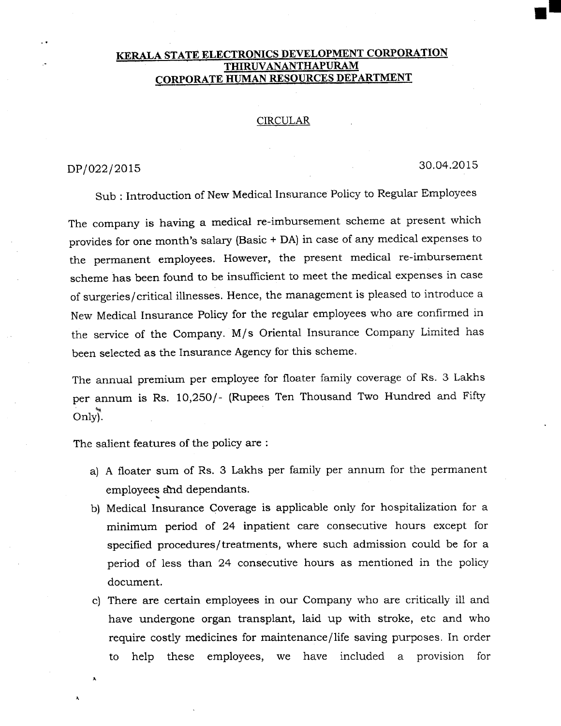# KERALA STATE ELECTRONICS DEVELOPMENT CORPORATION **THIRUVANANTHAPURAM CORPORATE HUMAN RESOURCES DEPARTMENT**

#### **CIRCULAR**

#### DP/022/2015

#### 30.04.2015

Sub: Introduction of New Medical Insurance Policy to Regular Employees

The company is having a medical re-imbursement scheme at present which provides for one month's salary (Basic + DA) in case of any medical expenses to the permanent employees. However, the present medical re-imbursement scheme has been found to be insufficient to meet the medical expenses in case of surgeries/critical illnesses. Hence, the management is pleased to introduce a New Medical Insurance Policy for the regular employees who are confirmed in the service of the Company. M/s Oriental Insurance Company Limited has been selected as the Insurance Agency for this scheme.

The annual premium per employee for floater family coverage of Rs. 3 Lakhs per annum is Rs. 10,250/- (Rupees Ten Thousand Two Hundred and Fifty  $Only)$ .

The salient features of the policy are :

- a) A floater sum of Rs. 3 Lakhs per family per annum for the permanent employees and dependants.
- b) Medical Insurance Coverage is applicable only for hospitalization for a minimum period of 24 inpatient care consecutive hours except for specified procedures/treatments, where such admission could be for a period of less than 24 consecutive hours as mentioned in the policy document.
- c) There are certain employees in our Company who are critically ill and have undergone organ transplant, laid up with stroke, etc and who require costly medicines for maintenance/life saving purposes. In order help these employees, we have included a provision for to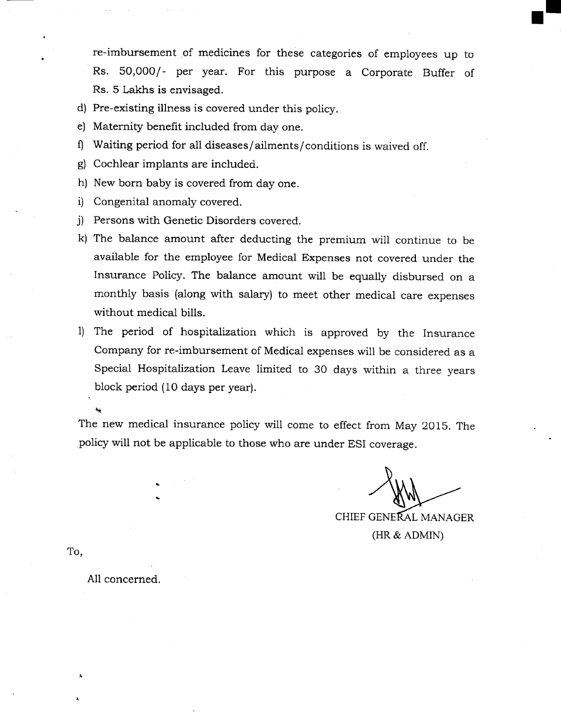re-imbursement of medicines for these categories of employees up to Rs. 50,000/- per year. For this purpose a Corporate Buffer of Rs. 5 Lakhs is envisaged.

- d) Pre-existing illness is covered under this policy.
- e) Maternity benefit included from day one.
- f) Waiting period for all diseases/ailments/conditions is waived off.
- g) Cochlear implants are included.
- h) New born baby is covered from day one.
- i) Congenital anomaly covered.
- i) Persons with Genetic Disorders covered.
- k) The balance amount after deducting the premium will continue to be available for the employee for Medical Expenses not covered under the Insurance Policy. The balance amount will be equally disbursed on a monthly basis (along with salary) to meet other medical care expenses without medical bills.
- 1) The period of hospitalization which is approved by the Insurance Company for re-imbursement of Medical expenses will be considered as a Special Hospitalization Leave limited to 30 days within a three years block period (10 days per year).

The new medical insurance policy will come to effect from May 2015. The policy will not be applicable to those who are under ESI coverage.

CHIEF GENERAL MANAGER  $(HR & ADMIN)$ 

To,

All concerned.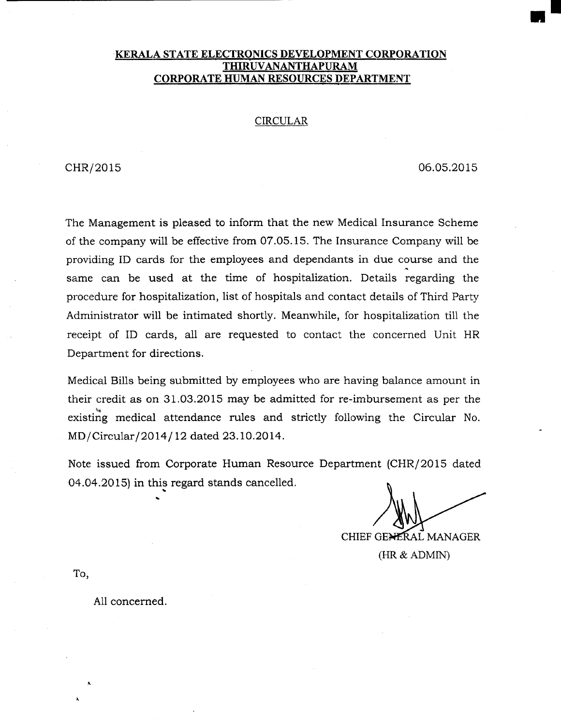#### **KERALA STATE ELECTRONICS DEVELOPMENT CORPORATION** THIRUVANANTHAPURAM **CORPORATE HUMAN RESOURCES DEPARTMENT**

#### **CIRCULAR**

CHR/2015

06.05.2015

The Management is pleased to inform that the new Medical Insurance Scheme of the company will be effective from 07.05.15. The Insurance Company will be providing ID cards for the employees and dependants in due course and the same can be used at the time of hospitalization. Details regarding the procedure for hospitalization, list of hospitals and contact details of Third Party Administrator will be intimated shortly. Meanwhile, for hospitalization till the receipt of ID cards, all are requested to contact the concerned Unit HR Department for directions.

Medical Bills being submitted by employees who are having balance amount in their credit as on 31.03.2015 may be admitted for re-imbursement as per the existing medical attendance rules and strictly following the Circular No. MD/Circular/2014/12 dated 23.10.2014.

Note issued from Corporate Human Resource Department (CHR/2015 dated 04.04.2015) in this regard stands cancelled.

CHIEF GENERAL MANAGER (HR & ADMIN)

To,

All concerned.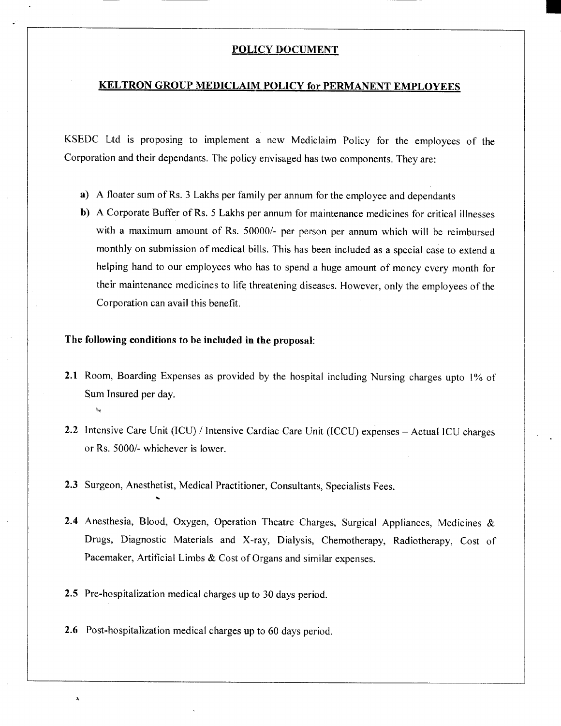#### **POLICY DOCUMENT**

#### **KELTRON GROUP MEDICLAIM POLICY for PERMANENT EMPLOYEES**

KSEDC Ltd is proposing to implement a new Mediclaim Policy for the employees of the Corporation and their dependants. The policy envisaged has two components. They are:

- a) A floater sum of Rs. 3 Lakhs per family per annum for the employee and dependants
- b) A Corporate Buffer of Rs. 5 Lakhs per annum for maintenance medicines for critical illnesses with a maximum amount of Rs. 50000/- per person per annum which will be reimbursed monthly on submission of medical bills. This has been included as a special case to extend a helping hand to our employees who has to spend a huge amount of money every month for their maintenance medicines to life threatening diseases. However, only the employees of the Corporation can avail this benefit.

#### The following conditions to be included in the proposal:

- 2.1 Room, Boarding Expenses as provided by the hospital including Nursing charges upto 1% of Sum Insured per day.
- 2.2 Intensive Care Unit (ICU) / Intensive Cardiac Care Unit (ICCU) expenses Actual ICU charges or Rs. 5000/- whichever is lower.

2.3 Surgeon, Anesthetist, Medical Practitioner, Consultants, Specialists Fees.

- 2.4 Anesthesia, Blood, Oxygen, Operation Theatre Charges, Surgical Appliances, Medicines & Drugs, Diagnostic Materials and X-ray, Dialysis, Chemotherapy, Radiotherapy, Cost of Pacemaker, Artificial Limbs & Cost of Organs and similar expenses.
- 2.5 Pre-hospitalization medical charges up to 30 days period.
- 2.6 Post-hospitalization medical charges up to 60 days period.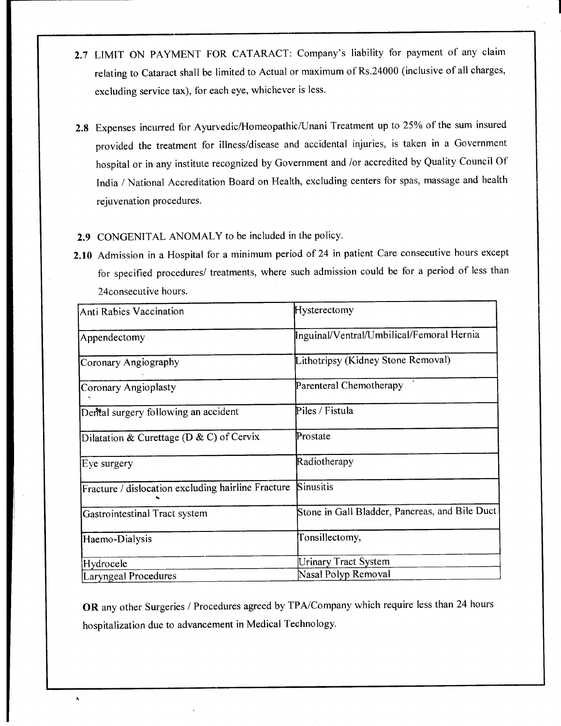- 2.7 LIMIT ON PAYMENT FOR CATARACT: Company's liability for payment of any claim relating to Cataract shall be limited to Actual or maximum of Rs.24000 (inclusive of all charges, excluding service tax), for each eye, whichever is less.
- 2.8 Expenses incurred for Ayurvedic/Homeopathic/Unani Treatment up to 25% of the sum insured provided the treatment for illness/disease and accidental injuries, is taken in a Government hospital or in any institute recognized by Government and /or accredited by Quality Council Of India / National Accreditation Board on Health, excluding centers for spas, massage and health rejuvenation procedures.

# 2.9 CONGENITAL ANOMALY to be included in the policy.

 $\mathbf{x}$ 

2.10 Admission in a Hospital for a minimum period of 24 in patient Care consecutive hours except for specified procedures/ treatments, where such admission could be for a period of less than 24 consecutive hours.

| Anti Rabies Vaccination                            | Hysterectomy                                   |  |
|----------------------------------------------------|------------------------------------------------|--|
| Appendectomy                                       | Inguinal/Ventral/Umbilical/Femoral Hernia      |  |
| Coronary Angiography                               | Lithotripsy (Kidney Stone Removal)             |  |
| Coronary Angioplasty                               | Parenteral Chemotherapy                        |  |
| Dental surgery following an accident               | Piles / Fistula                                |  |
| Dilatation & Curettage (D & C) of Cervix           | Prostate                                       |  |
| Eye surgery                                        | Radiotherapy                                   |  |
| Fracture / dislocation excluding hairline Fracture | Sinusitis                                      |  |
| Gastrointestinal Tract system                      | Stone in Gall Bladder, Pancreas, and Bile Duct |  |
| Haemo-Dialysis                                     | Tonsillectomy,                                 |  |
| Hydrocele                                          | <b>Urinary Tract System</b>                    |  |
| Laryngeal Procedures                               | Nasal Polyp Removal                            |  |

OR any other Surgeries / Procedures agreed by TPA/Company which require less than 24 hours hospitalization due to advancement in Medical Technology.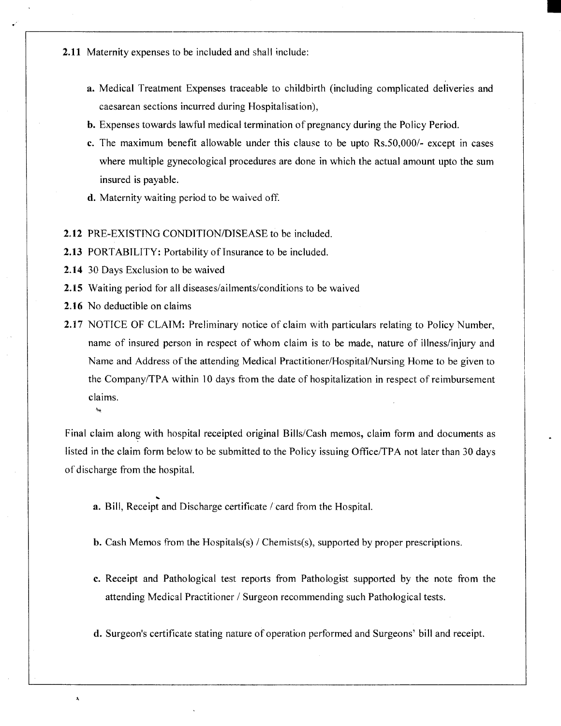- 2.11 Maternity expenses to be included and shall include:
	- a. Medical Treatment Expenses traceable to childbirth (including complicated deliveries and caesarean sections incurred during Hospitalisation),
	- **b.** Expenses towards lawful medical termination of pregnancy during the Policy Period.
	- c. The maximum benefit allowable under this clause to be upto  $Rs.50,000/-$  except in cases where multiple gynecological procedures are done in which the actual amount upto the sum insured is payable.
	- d. Maternity waiting period to be waived off.

#### 2.12 PRE-EXISTING CONDITION/DISEASE to be included.

- 2.13 PORTABILITY: Portability of Insurance to be included.
- 2.14 30 Days Exclusion to be waived
- **2.15** Waiting period for all diseases/ailments/conditions to be waived
- 2.16 No deductible on claims

)<br>Ma

 $\lambda$ 

2.17 NOTICE OF CLAIM: Preliminary notice of claim with particulars relating to Policy Number, name of insured person in respect of whom claim is to be made, nature of illness/injury and Name and Address of the attending Medical Practitioner/Hospital/Nursing Home to be given to the Company/TPA within 10 days from the date of hospitalization in respect of reimbursement claims.

Final claim along with hospital receipted original Bills/Cash memos, claim form and documents as listed in the claim form below to be submitted to the Policy issuing Office/TPA not later than 30 days of discharge from the hospital.

- a. Bill, Receipt and Discharge certificate / card from the Hospital.
- **b.** Cash Memos from the Hospitals(s) / Chemists(s), supported by proper prescriptions.
- c. Receipt and Pathological test reports from Pathologist supported by the note from the attending Medical Practitioner / Surgeon recommending such Pathological tests.
- d. Surgeon's certificate stating nature of operation performed and Surgeons' bill and receipt.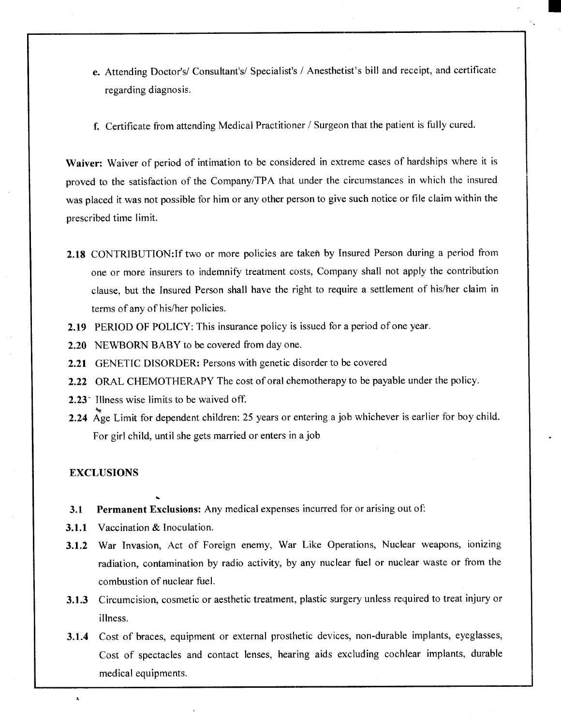- e. Attending Doctor's/ Consultant's/ Specialist's / Anesthetist's bill and receipt, and certificate regarding diagnosis.
- f. Certificate from attending Medical Practitioner / Surgeon that the patient is fully cured.

Waiver: Waiver of period of intimation to be considered in extreme cases of hardships where it is proved to the satisfaction of the Company/TPA that under the circumstances in which the insured was placed it was not possible for him or any other person to give such notice or file claim within the prescribed time limit.

- 2.18 CONTRIBUTION: If two or more policies are taken by Insured Person during a period from one or more insurers to indemnify treatment costs, Company shall not apply the contribution clause, but the Insured Person shall have the right to require a settlement of his/her claim in terms of any of his/her policies.
- 2.19 PERIOD OF POLICY: This insurance policy is issued for a period of one year.
- 2.20 NEWBORN BABY to be covered from day one.
- 2.21 GENETIC DISORDER: Persons with genetic disorder to be covered
- 2.22 ORAL CHEMOTHERAPY The cost of oral chemotherapy to be payable under the policy.
- 2.23 Illness wise limits to be waived off.
- 2.24 Age Limit for dependent children: 25 years or entering a job whichever is earlier for boy child. For girl child, until she gets married or enters in a job

#### **EXCLUSIONS**

 $\lambda$ 

- $3.1$ **Permanent Exclusions:** Any medical expenses incurred for or arising out of:
- **3.1.1** Vaccination & Inoculation.
- 3.1.2 War Invasion, Act of Foreign enemy, War Like Operations, Nuclear weapons, ionizing radiation, contamination by radio activity, by any nuclear fuel or nuclear waste or from the combustion of nuclear fuel.
- 3.1.3 Circumcision, cosmetic or aesthetic treatment, plastic surgery unless required to treat injury or illness.
- 3.1.4 Cost of braces, equipment or external prosthetic devices, non-durable implants, eyeglasses, Cost of spectacles and contact lenses, hearing aids excluding cochlear implants, durable medical equipments.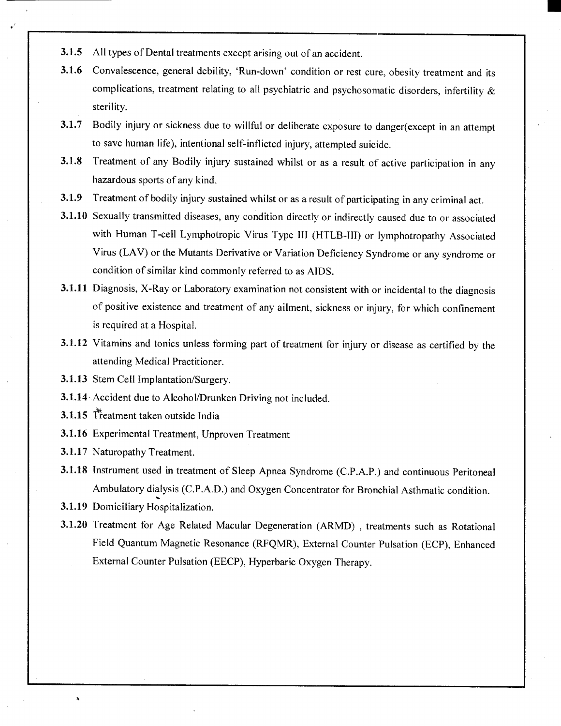- $3.1.5$ All types of Dental treatments except arising out of an accident.
- Convalescence, general debility, 'Run-down' condition or rest cure, obesity treatment and its  $3.1.6$ complications, treatment relating to all psychiatric and psychosomatic disorders, infertility & sterility.
- 3.1.7 Bodily injury or sickness due to willful or deliberate exposure to danger(except in an attempt to save human life), intentional self-inflicted injury, attempted suicide.
- 3.1.8 Treatment of any Bodily injury sustained whilst or as a result of active participation in any hazardous sports of any kind.
- 3.1.9 Treatment of bodily injury sustained whilst or as a result of participating in any criminal act.
- 3.1.10 Sexually transmitted diseases, any condition directly or indirectly caused due to or associated with Human T-cell Lymphotropic Virus Type III (HTLB-III) or lymphotropathy Associated Virus (LAV) or the Mutants Derivative or Variation Deficiency Syndrome or any syndrome or condition of similar kind commonly referred to as AIDS.
- 3.1.11 Diagnosis, X-Ray or Laboratory examination not consistent with or incidental to the diagnosis of positive existence and treatment of any ailment, sickness or injury, for which confinement is required at a Hospital.
- 3.1.12 Vitamins and tonics unless forming part of treatment for injury or disease as certified by the attending Medical Practitioner.
- 3.1.13 Stem Cell Implantation/Surgery.
- 3.1.14 Accident due to Alcohol/Drunken Driving not included.
- 3.1.15 Treatment taken outside India
- 3.1.16 Experimental Treatment, Unproven Treatment
- 3.1.17 Naturopathy Treatment.
- 3.1.18 Instrument used in treatment of Sleep Apnea Syndrome (C.P.A.P.) and continuous Peritoneal Ambulatory dialysis (C.P.A.D.) and Oxygen Concentrator for Bronchial Asthmatic condition.
- 3.1.19 Domiciliary Hospitalization.

A,

3.1.20 Treatment for Age Related Macular Degeneration (ARMD), treatments such as Rotational Field Quantum Magnetic Resonance (RFQMR), External Counter Pulsation (ECP), Enhanced External Counter Pulsation (EECP), Hyperbaric Oxygen Therapy.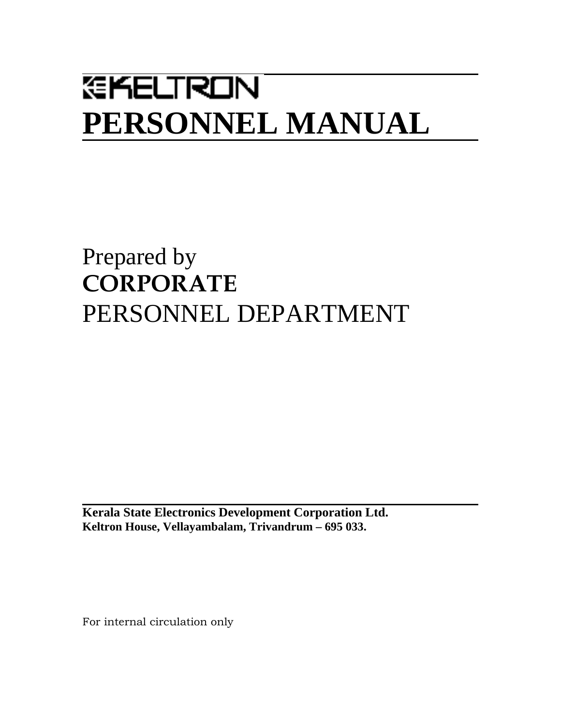# *<b>GKELTRON* **PERSONNEL MANUAL**

# Prepared by **CORPORATE** PERSONNEL DEPARTMENT

**Kerala State Electronics Development Corporation Ltd. Keltron House, Vellayambalam, Trivandrum – 695 033.** 

For internal circulation only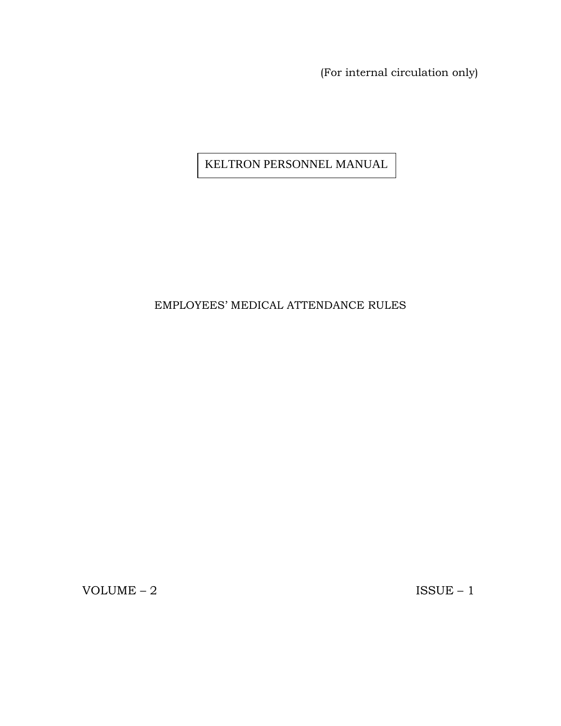(For internal circulation only)

KELTRON PERSONNEL MANUAL

# EMPLOYEES' MEDICAL ATTENDANCE RULES

 $VOLUME - 2$  ISSUE – 1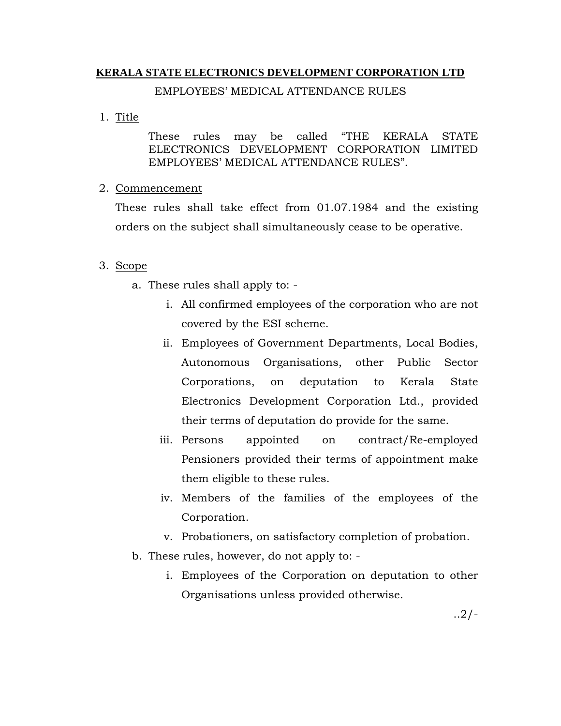# **KERALA STATE ELECTRONICS DEVELOPMENT CORPORATION LTD** EMPLOYEES' MEDICAL ATTENDANCE RULES

1. Title

These rules may be called "THE KERALA STATE ELECTRONICS DEVELOPMENT CORPORATION LIMITED EMPLOYEES' MEDICAL ATTENDANCE RULES".

# 2. Commencement

These rules shall take effect from 01.07.1984 and the existing orders on the subject shall simultaneously cease to be operative.

# 3. Scope

- a. These rules shall apply to:
	- i. All confirmed employees of the corporation who are not covered by the ESI scheme.
	- ii. Employees of Government Departments, Local Bodies, Autonomous Organisations, other Public Sector Corporations, on deputation to Kerala State Electronics Development Corporation Ltd., provided their terms of deputation do provide for the same.
	- iii. Persons appointed on contract/Re-employed Pensioners provided their terms of appointment make them eligible to these rules.
	- iv. Members of the families of the employees of the Corporation.
	- v. Probationers, on satisfactory completion of probation.
- b. These rules, however, do not apply to:
	- i. Employees of the Corporation on deputation to other Organisations unless provided otherwise.

..2/-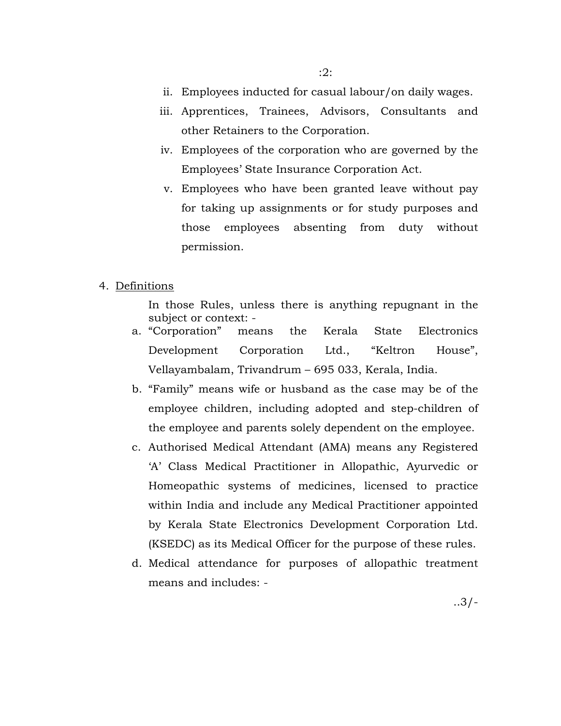- ii. Employees inducted for casual labour/on daily wages.
- iii. Apprentices, Trainees, Advisors, Consultants and other Retainers to the Corporation.
- iv. Employees of the corporation who are governed by the Employees' State Insurance Corporation Act.
- v. Employees who have been granted leave without pay for taking up assignments or for study purposes and those employees absenting from duty without permission.

#### 4. Definitions

In those Rules, unless there is anything repugnant in the subject or context: -

- a. "Corporation" means the Kerala State Electronics Development Corporation Ltd., "Keltron House", Vellayambalam, Trivandrum – 695 033, Kerala, India.
- b. "Family" means wife or husband as the case may be of the employee children, including adopted and step-children of the employee and parents solely dependent on the employee.
- c. Authorised Medical Attendant (AMA) means any Registered 'A' Class Medical Practitioner in Allopathic, Ayurvedic or Homeopathic systems of medicines, licensed to practice within India and include any Medical Practitioner appointed by Kerala State Electronics Development Corporation Ltd. (KSEDC) as its Medical Officer for the purpose of these rules.
- d. Medical attendance for purposes of allopathic treatment means and includes: -

..3/-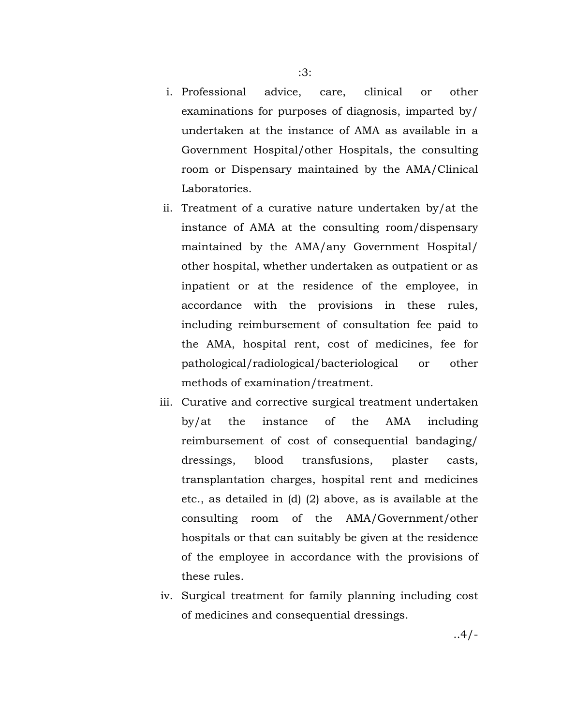- i. Professional advice, care, clinical or other examinations for purposes of diagnosis, imparted by/ undertaken at the instance of AMA as available in a Government Hospital/other Hospitals, the consulting room or Dispensary maintained by the AMA/Clinical Laboratories.
- ii. Treatment of a curative nature undertaken by/at the instance of AMA at the consulting room/dispensary maintained by the AMA/any Government Hospital/ other hospital, whether undertaken as outpatient or as inpatient or at the residence of the employee, in accordance with the provisions in these rules, including reimbursement of consultation fee paid to the AMA, hospital rent, cost of medicines, fee for pathological/radiological/bacteriological or other methods of examination/treatment.
- iii. Curative and corrective surgical treatment undertaken by/at the instance of the AMA including reimbursement of cost of consequential bandaging/ dressings, blood transfusions, plaster casts, transplantation charges, hospital rent and medicines etc., as detailed in (d) (2) above, as is available at the consulting room of the AMA/Government/other hospitals or that can suitably be given at the residence of the employee in accordance with the provisions of these rules.
- iv. Surgical treatment for family planning including cost of medicines and consequential dressings.

..4/-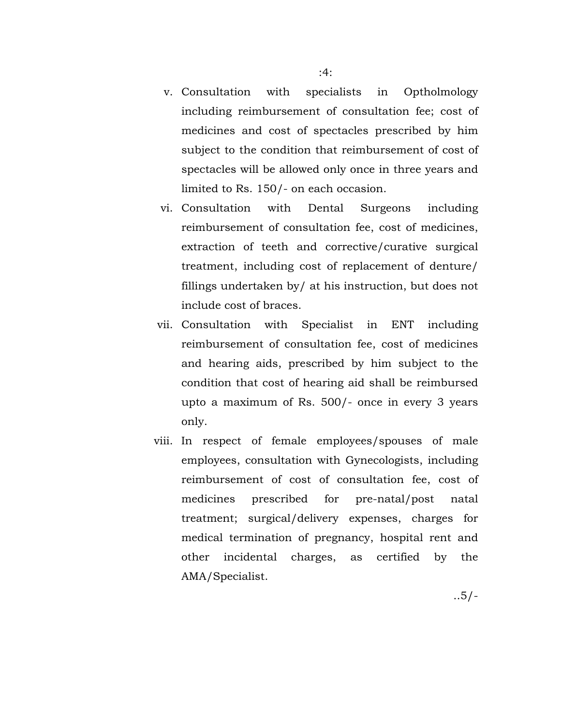- v. Consultation with specialists in Optholmology including reimbursement of consultation fee; cost of medicines and cost of spectacles prescribed by him subject to the condition that reimbursement of cost of spectacles will be allowed only once in three years and limited to Rs. 150/- on each occasion.
- vi. Consultation with Dental Surgeons including reimbursement of consultation fee, cost of medicines, extraction of teeth and corrective/curative surgical treatment, including cost of replacement of denture/ fillings undertaken by/ at his instruction, but does not include cost of braces.
- vii. Consultation with Specialist in ENT including reimbursement of consultation fee, cost of medicines and hearing aids, prescribed by him subject to the condition that cost of hearing aid shall be reimbursed upto a maximum of Rs. 500/- once in every 3 years only.
- viii. In respect of female employees/spouses of male employees, consultation with Gynecologists, including reimbursement of cost of consultation fee, cost of medicines prescribed for pre-natal/post natal treatment; surgical/delivery expenses, charges for medical termination of pregnancy, hospital rent and other incidental charges, as certified by the AMA/Specialist.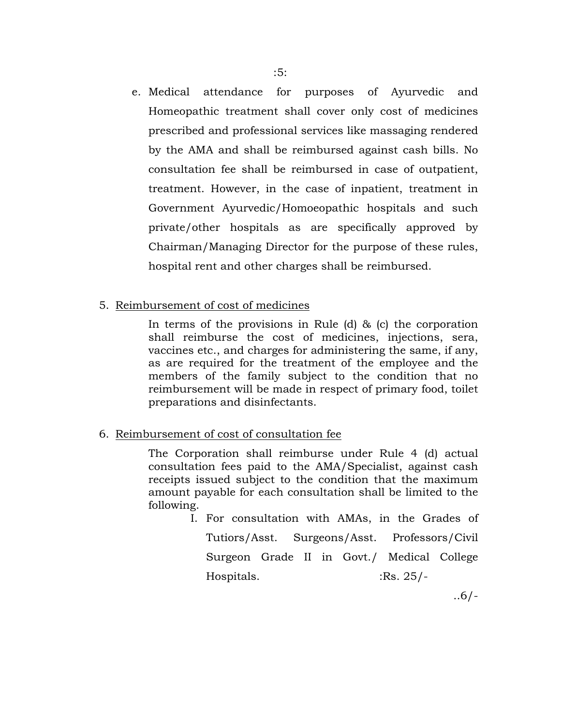- e. Medical attendance for purposes of Ayurvedic and Homeopathic treatment shall cover only cost of medicines prescribed and professional services like massaging rendered by the AMA and shall be reimbursed against cash bills. No consultation fee shall be reimbursed in case of outpatient, treatment. However, in the case of inpatient, treatment in Government Ayurvedic/Homoeopathic hospitals and such private/other hospitals as are specifically approved by Chairman/Managing Director for the purpose of these rules, hospital rent and other charges shall be reimbursed.
- 5. Reimbursement of cost of medicines

In terms of the provisions in Rule  $(d)$  &  $(c)$  the corporation shall reimburse the cost of medicines, injections, sera, vaccines etc., and charges for administering the same, if any, as are required for the treatment of the employee and the members of the family subject to the condition that no reimbursement will be made in respect of primary food, toilet preparations and disinfectants.

6. Reimbursement of cost of consultation fee

The Corporation shall reimburse under Rule 4 (d) actual consultation fees paid to the AMA/Specialist, against cash receipts issued subject to the condition that the maximum amount payable for each consultation shall be limited to the following.

> I. For consultation with AMAs, in the Grades of Tutiors/Asst. Surgeons/Asst. Professors/Civil Surgeon Grade II in Govt./ Medical College Hospitals. :Rs. 25/-

> > ..6/-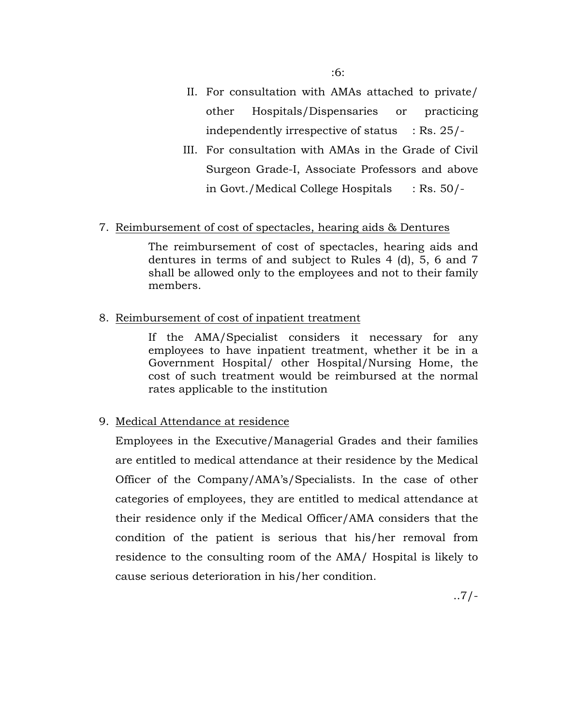independently irrespective of status : Rs. 25/-

III. For consultation with AMAs in the Grade of Civil Surgeon Grade-I, Associate Professors and above in Govt./Medical College Hospitals : Rs. 50/-

# 7. Reimbursement of cost of spectacles, hearing aids & Dentures

The reimbursement of cost of spectacles, hearing aids and dentures in terms of and subject to Rules 4 (d), 5, 6 and 7 shall be allowed only to the employees and not to their family members.

# 8. Reimbursement of cost of inpatient treatment

If the AMA/Specialist considers it necessary for any employees to have inpatient treatment, whether it be in a Government Hospital/ other Hospital/Nursing Home, the cost of such treatment would be reimbursed at the normal rates applicable to the institution

# 9. Medical Attendance at residence

Employees in the Executive/Managerial Grades and their families are entitled to medical attendance at their residence by the Medical Officer of the Company/AMA's/Specialists. In the case of other categories of employees, they are entitled to medical attendance at their residence only if the Medical Officer/AMA considers that the condition of the patient is serious that his/her removal from residence to the consulting room of the AMA/ Hospital is likely to cause serious deterioration in his/her condition.

..7/-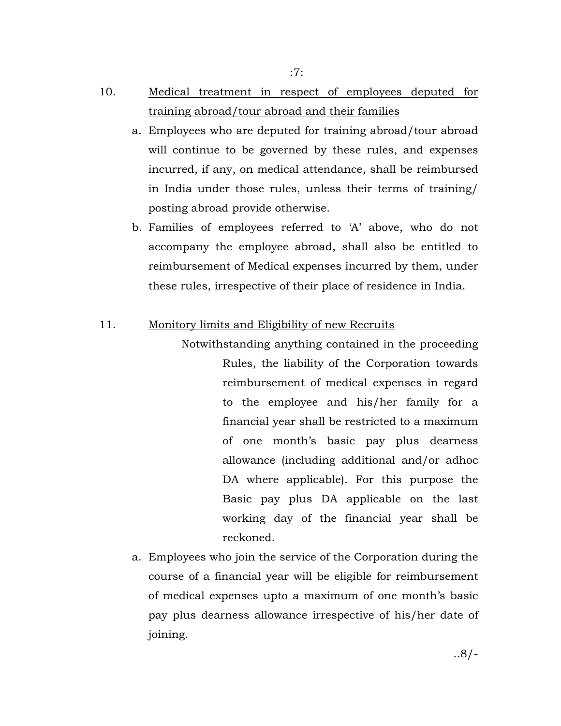- 10. Medical treatment in respect of employees deputed for training abroad/tour abroad and their families
	- a. Employees who are deputed for training abroad/tour abroad will continue to be governed by these rules, and expenses incurred, if any, on medical attendance, shall be reimbursed in India under those rules, unless their terms of training/ posting abroad provide otherwise.
	- b. Families of employees referred to 'A' above, who do not accompany the employee abroad, shall also be entitled to reimbursement of Medical expenses incurred by them, under these rules, irrespective of their place of residence in India.

# 11. Monitory limits and Eligibility of new Recruits

Notwithstanding anything contained in the proceeding Rules, the liability of the Corporation towards reimbursement of medical expenses in regard to the employee and his/her family for a financial year shall be restricted to a maximum of one month's basic pay plus dearness allowance (including additional and/or adhoc DA where applicable). For this purpose the Basic pay plus DA applicable on the last working day of the financial year shall be reckoned.

a. Employees who join the service of the Corporation during the course of a financial year will be eligible for reimbursement of medical expenses upto a maximum of one month's basic pay plus dearness allowance irrespective of his/her date of joining.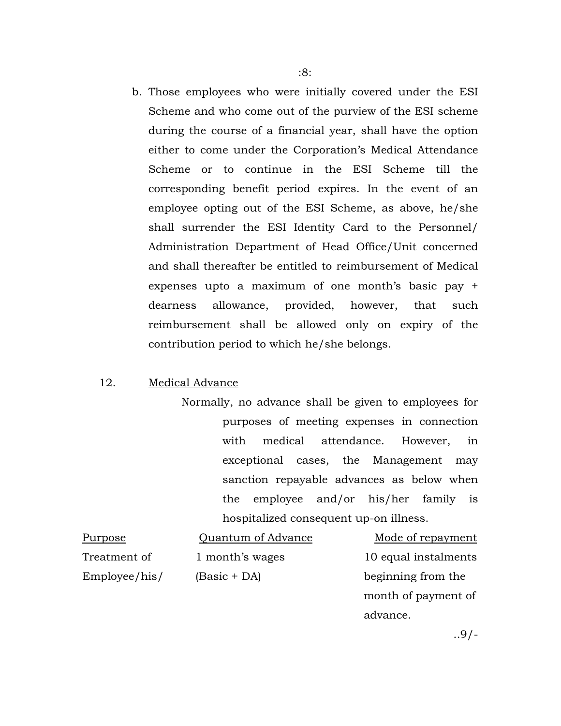b. Those employees who were initially covered under the ESI Scheme and who come out of the purview of the ESI scheme during the course of a financial year, shall have the option either to come under the Corporation's Medical Attendance Scheme or to continue in the ESI Scheme till the corresponding benefit period expires. In the event of an employee opting out of the ESI Scheme, as above, he/she shall surrender the ESI Identity Card to the Personnel/ Administration Department of Head Office/Unit concerned and shall thereafter be entitled to reimbursement of Medical expenses upto a maximum of one month's basic pay + dearness allowance, provided, however, that such reimbursement shall be allowed only on expiry of the contribution period to which he/she belongs.

# 12. Medical Advance

Normally, no advance shall be given to employees for purposes of meeting expenses in connection with medical attendance. However, in exceptional cases, the Management may sanction repayable advances as below when the employee and/or his/her family is hospitalized consequent up-on illness.

| Purpose       | Quantum of Advance | Mode of repayment    |
|---------------|--------------------|----------------------|
| Treatment of  | 1 month's wages    | 10 equal instalments |
| Employee/his/ | (Basic + DA)       | beginning from the   |
|               |                    | month of payment of  |

advance.

..9/-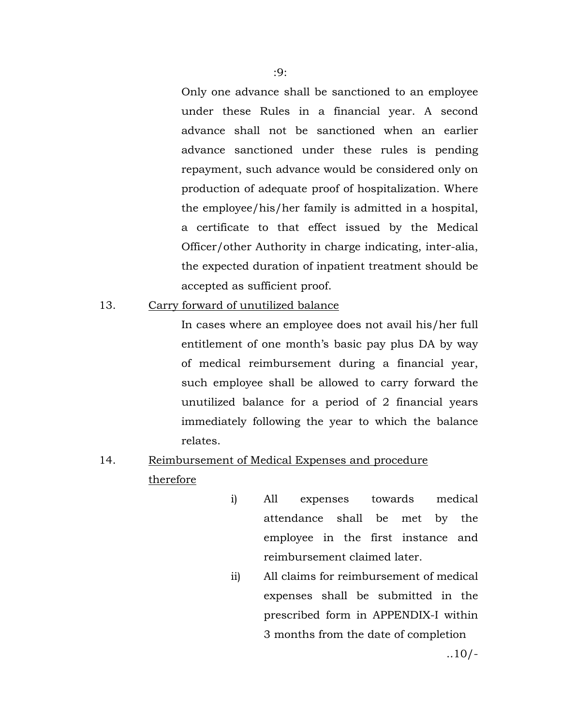Only one advance shall be sanctioned to an employee under these Rules in a financial year. A second advance shall not be sanctioned when an earlier advance sanctioned under these rules is pending repayment, such advance would be considered only on production of adequate proof of hospitalization. Where the employee/his/her family is admitted in a hospital, a certificate to that effect issued by the Medical Officer/other Authority in charge indicating, inter-alia, the expected duration of inpatient treatment should be accepted as sufficient proof.

# 13. Carry forward of unutilized balance

In cases where an employee does not avail his/her full entitlement of one month's basic pay plus DA by way of medical reimbursement during a financial year, such employee shall be allowed to carry forward the unutilized balance for a period of 2 financial years immediately following the year to which the balance relates.

# 14. Reimbursement of Medical Expenses and procedure therefore

- i) All expenses towards medical attendance shall be met by the employee in the first instance and reimbursement claimed later.
- ii) All claims for reimbursement of medical expenses shall be submitted in the prescribed form in APPENDIX-I within 3 months from the date of completion

..10/-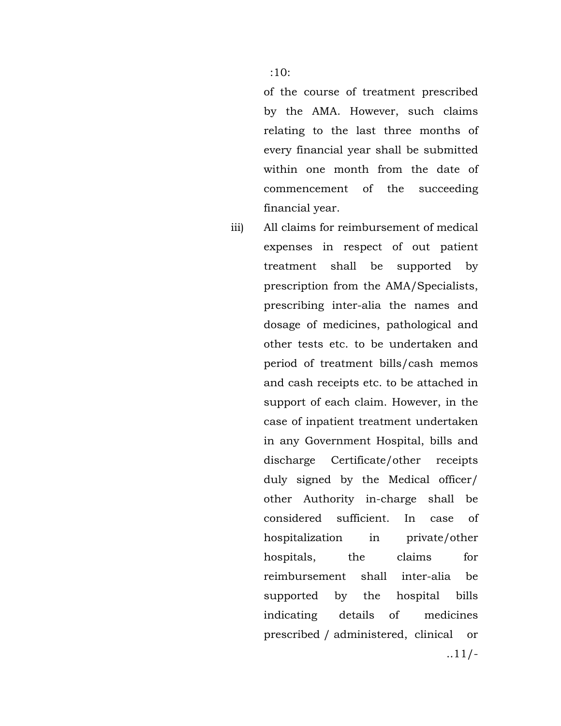of the course of treatment prescribed by the AMA. However, such claims relating to the last three months of every financial year shall be submitted within one month from the date of commencement of the succeeding financial year.

iii) All claims for reimbursement of medical expenses in respect of out patient treatment shall be supported by prescription from the AMA/Specialists, prescribing inter-alia the names and dosage of medicines, pathological and other tests etc. to be undertaken and period of treatment bills/cash memos and cash receipts etc. to be attached in support of each claim. However, in the case of inpatient treatment undertaken in any Government Hospital, bills and discharge Certificate/other receipts duly signed by the Medical officer/ other Authority in-charge shall be considered sufficient. In case of hospitalization in private/other hospitals, the claims for reimbursement shall inter-alia be supported by the hospital bills indicating details of medicines prescribed / administered, clinical or ..11/-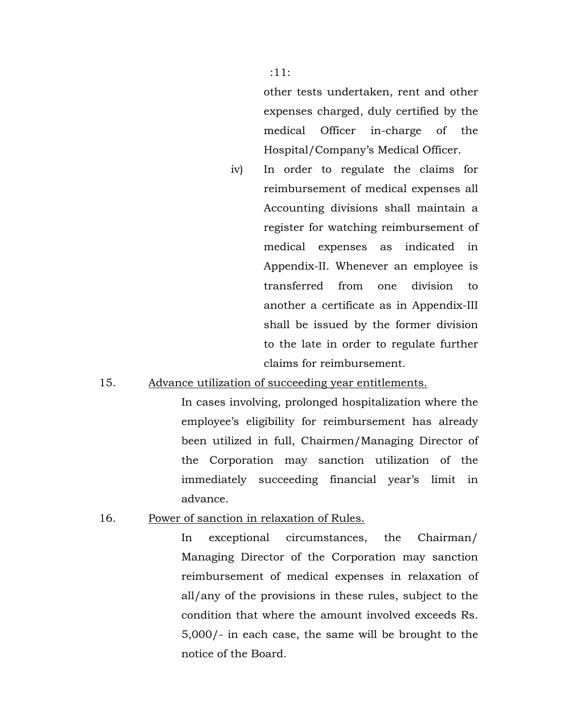other tests undertaken, rent and other expenses charged, duly certified by the medical Officer in-charge of the Hospital/Company's Medical Officer.

iv) In order to regulate the claims for reimbursement of medical expenses all Accounting divisions shall maintain a register for watching reimbursement of medical expenses as indicated in Appendix-II. Whenever an employee is transferred from one division to another a certificate as in Appendix-III shall be issued by the former division to the late in order to regulate further claims for reimbursement.

# 15. Advance utilization of succeeding year entitlements.

In cases involving, prolonged hospitalization where the employee's eligibility for reimbursement has already been utilized in full, Chairmen/Managing Director of the Corporation may sanction utilization of the immediately succeeding financial year's limit in advance.

#### 16. Power of sanction in relaxation of Rules.

In exceptional circumstances, the Chairman/ Managing Director of the Corporation may sanction reimbursement of medical expenses in relaxation of all/any of the provisions in these rules, subject to the condition that where the amount involved exceeds Rs. 5,000/- in each case, the same will be brought to the notice of the Board.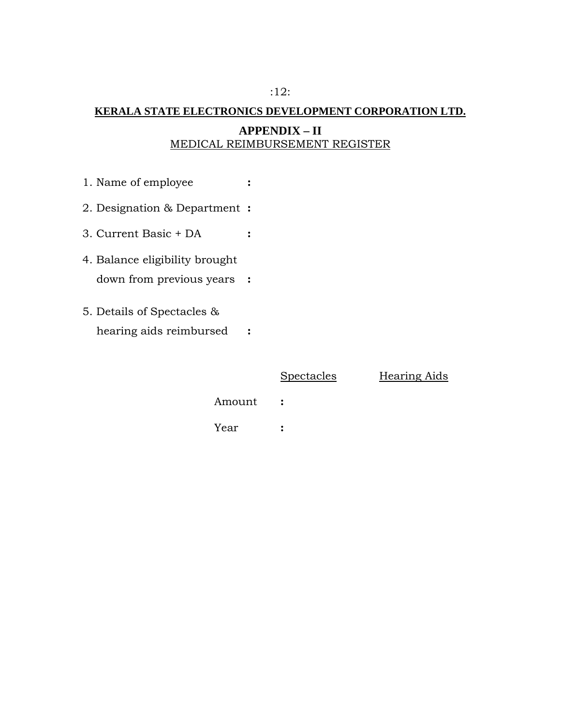# :12:

# **KERALA STATE ELECTRONICS DEVELOPMENT CORPORATION LTD.**

# **APPENDIX – II**  MEDICAL REIMBURSEMENT REGISTER

1. Name of employee **:** 2. Designation & Department **:** 3. Current Basic + DA **:** 4. Balance eligibility brought down from previous years **:** 5. Details of Spectacles & hearing aids reimbursed **:**

|        | <b>Spectacles</b> | Hearing Aids |
|--------|-------------------|--------------|
| Amount |                   |              |
| Year   |                   |              |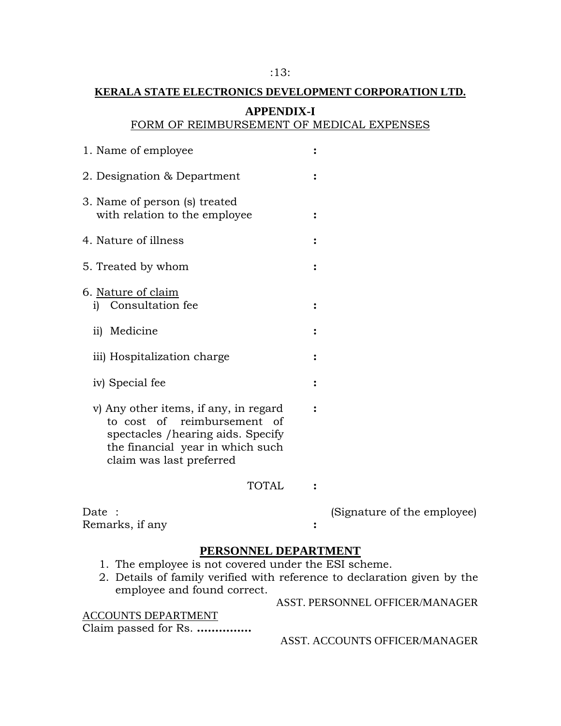# **KERALA STATE ELECTRONICS DEVELOPMENT CORPORATION LTD.**

# **APPENDIX-I**  FORM OF REIMBURSEMENT OF MEDICAL EXPENSES

| 1. Name of employee                                                                                                                                                                                                                                      |                                  |  |  |  |
|----------------------------------------------------------------------------------------------------------------------------------------------------------------------------------------------------------------------------------------------------------|----------------------------------|--|--|--|
| 2. Designation & Department                                                                                                                                                                                                                              |                                  |  |  |  |
| 3. Name of person (s) treated<br>with relation to the employee                                                                                                                                                                                           |                                  |  |  |  |
| 4. Nature of illness                                                                                                                                                                                                                                     |                                  |  |  |  |
| 5. Treated by whom                                                                                                                                                                                                                                       |                                  |  |  |  |
| 6. Nature of claim<br>Consultation fee<br>i)                                                                                                                                                                                                             |                                  |  |  |  |
| ii) Medicine                                                                                                                                                                                                                                             |                                  |  |  |  |
| iii) Hospitalization charge                                                                                                                                                                                                                              |                                  |  |  |  |
| iv) Special fee                                                                                                                                                                                                                                          |                                  |  |  |  |
| v) Any other items, if any, in regard<br>to cost of reimbursement of<br>spectacles / hearing aids. Specify<br>the financial year in which such<br>claim was last preferred                                                                               |                                  |  |  |  |
| <b>TOTAL</b>                                                                                                                                                                                                                                             |                                  |  |  |  |
| Date<br>Remarks, if any                                                                                                                                                                                                                                  | (Signature of the employee)<br>፡ |  |  |  |
| PERSONNEL DEPARTMENT<br>1. The employee is not covered under the ESI scheme.<br>2. Details of family verified with reference to declaration given by the<br>employee and found correct.<br>ASST. PERSONNEL OFFICER/MANAGER<br><b>ACCOUNTS DEPARTMENT</b> |                                  |  |  |  |

Claim passed for Rs. **……………**

ASST. ACCOUNTS OFFICER/MANAGER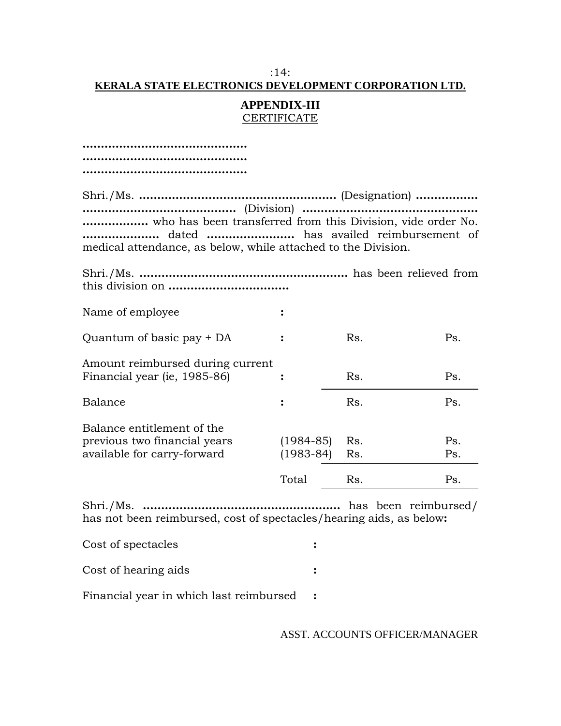#### :14: **KERALA STATE ELECTRONICS DEVELOPMENT CORPORATION LTD.**

# **APPENDIX-III**  CERTIFICATE

**……………………………………… ……………………………………… ………………………………………** 

Shri./Ms. **………………………………………………** (Designation) **…..………… ……………………………………** (Division) **………………………………………… ………………** who has been transferred from this Division, vide order No. **…………………** dated **……………………** has availed reimbursement of medical attendance, as below, while attached to the Division.

Shri./Ms. **…………………………………………………** has been relieved from this division on **……………………………** 

| Name of employee                                                                          |                            |            |            |
|-------------------------------------------------------------------------------------------|----------------------------|------------|------------|
| Quantum of basic pay + DA                                                                 |                            | Rs.        | Ps.        |
| Amount reimbursed during current<br>Financial year (ie, 1985-86)                          |                            | Rs.        | Ps.        |
| Balance                                                                                   |                            | Rs.        | Ps.        |
| Balance entitlement of the<br>previous two financial years<br>available for carry-forward | $(1984 - 85)$<br>(1983-84) | Rs.<br>Rs. | Ps.<br>Ps. |
|                                                                                           | Total                      | Rs.        | Ps.        |

Shri./Ms. **………………………………………………** has been reimbursed/ has not been reimbursed, cost of spectacles/hearing aids, as below**:**

| Cost of spectacles   |  |
|----------------------|--|
| Cost of hearing aids |  |

Financial year in which last reimbursed **:**

ASST. ACCOUNTS OFFICER/MANAGER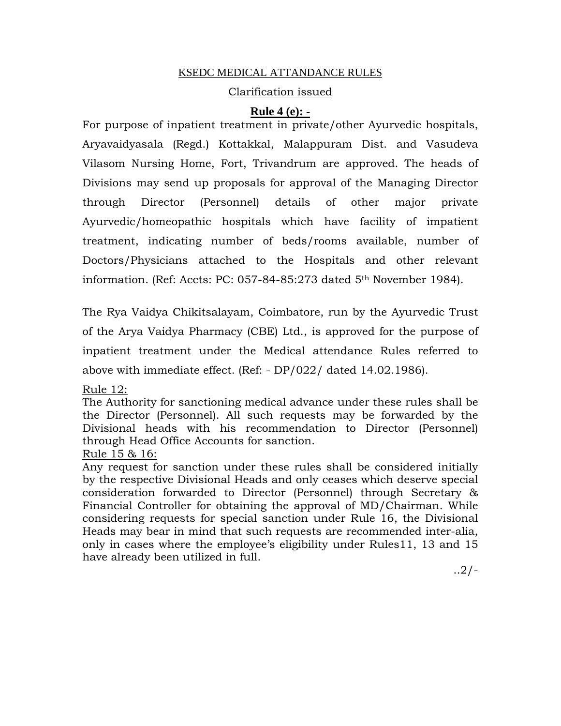# KSEDC MEDICAL ATTANDANCE RULES

#### Clarification issued

# **Rule 4 (e): -**

For purpose of inpatient treatment in private/other Ayurvedic hospitals, Aryavaidyasala (Regd.) Kottakkal, Malappuram Dist. and Vasudeva Vilasom Nursing Home, Fort, Trivandrum are approved. The heads of Divisions may send up proposals for approval of the Managing Director through Director (Personnel) details of other major private Ayurvedic/homeopathic hospitals which have facility of impatient treatment, indicating number of beds/rooms available, number of Doctors/Physicians attached to the Hospitals and other relevant information. (Ref: Accts: PC: 057-84-85:273 dated 5<sup>th</sup> November 1984).

The Rya Vaidya Chikitsalayam, Coimbatore, run by the Ayurvedic Trust of the Arya Vaidya Pharmacy (CBE) Ltd., is approved for the purpose of inpatient treatment under the Medical attendance Rules referred to above with immediate effect. (Ref: - DP/022/ dated 14.02.1986).

Rule 12:

The Authority for sanctioning medical advance under these rules shall be the Director (Personnel). All such requests may be forwarded by the Divisional heads with his recommendation to Director (Personnel) through Head Office Accounts for sanction.

#### Rule 15 & 16:

Any request for sanction under these rules shall be considered initially by the respective Divisional Heads and only ceases which deserve special consideration forwarded to Director (Personnel) through Secretary & Financial Controller for obtaining the approval of MD/Chairman. While considering requests for special sanction under Rule 16, the Divisional Heads may bear in mind that such requests are recommended inter-alia, only in cases where the employee's eligibility under Rules11, 13 and 15 have already been utilized in full.

 $.2/-$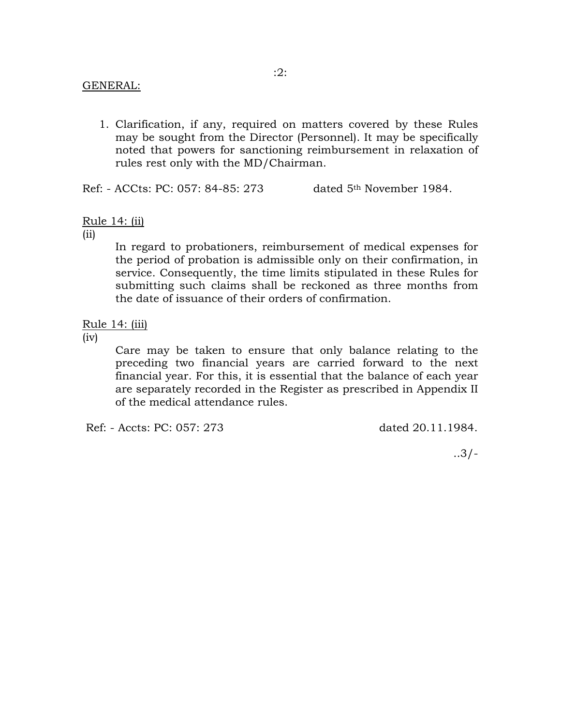1. Clarification, if any, required on matters covered by these Rules may be sought from the Director (Personnel). It may be specifically noted that powers for sanctioning reimbursement in relaxation of rules rest only with the MD/Chairman.

Ref: - ACCts: PC: 057: 84-85: 273 dated 5th November 1984.

Rule 14: (ii)

(ii)

In regard to probationers, reimbursement of medical expenses for the period of probation is admissible only on their confirmation, in service. Consequently, the time limits stipulated in these Rules for submitting such claims shall be reckoned as three months from the date of issuance of their orders of confirmation.

Rule 14: (iii)

(iv)

Care may be taken to ensure that only balance relating to the preceding two financial years are carried forward to the next financial year. For this, it is essential that the balance of each year are separately recorded in the Register as prescribed in Appendix II of the medical attendance rules.

Ref: - Accts: PC: 057: 273 dated 20.11.1984.

..3/-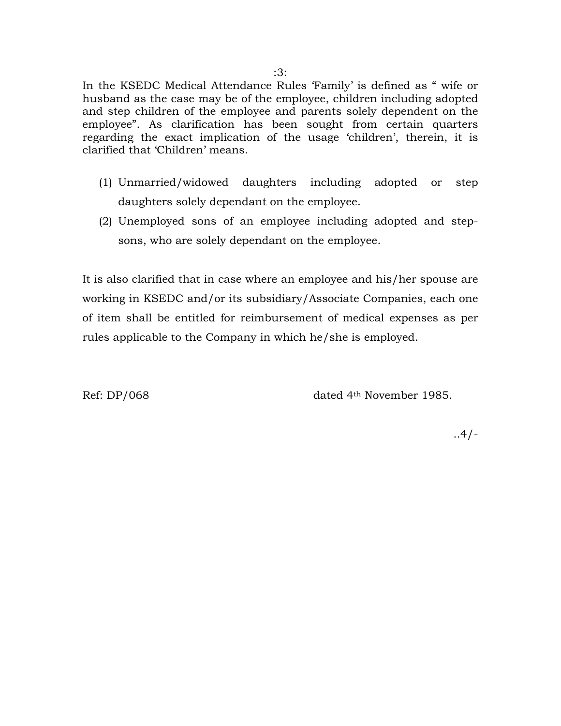In the KSEDC Medical Attendance Rules 'Family' is defined as " wife or husband as the case may be of the employee, children including adopted and step children of the employee and parents solely dependent on the employee". As clarification has been sought from certain quarters regarding the exact implication of the usage 'children', therein, it is clarified that 'Children' means.

- (1) Unmarried/widowed daughters including adopted or step daughters solely dependant on the employee.
- (2) Unemployed sons of an employee including adopted and stepsons, who are solely dependant on the employee.

It is also clarified that in case where an employee and his/her spouse are working in KSEDC and/or its subsidiary/Associate Companies, each one of item shall be entitled for reimbursement of medical expenses as per rules applicable to the Company in which he/she is employed.

Ref: DP/068 dated 4<sup>th</sup> November 1985.

..4/-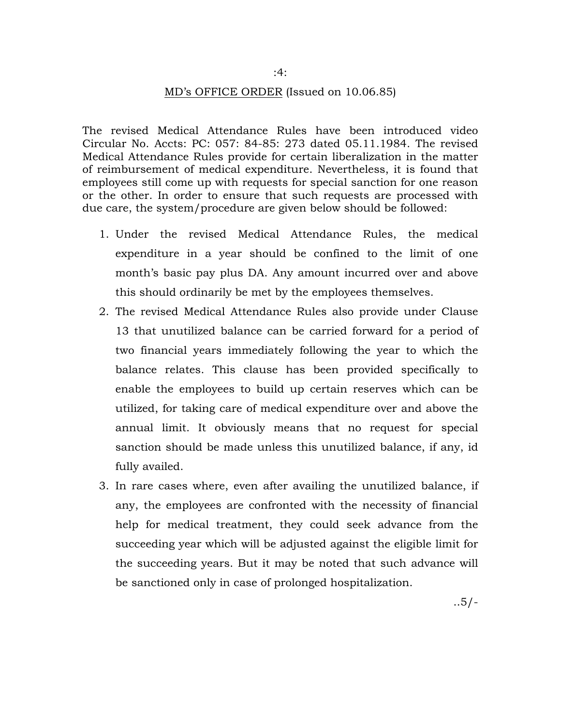#### MD's OFFICE ORDER (Issued on 10.06.85)

The revised Medical Attendance Rules have been introduced video Circular No. Accts: PC: 057: 84-85: 273 dated 05.11.1984. The revised Medical Attendance Rules provide for certain liberalization in the matter of reimbursement of medical expenditure. Nevertheless, it is found that employees still come up with requests for special sanction for one reason or the other. In order to ensure that such requests are processed with due care, the system/procedure are given below should be followed:

- 1. Under the revised Medical Attendance Rules, the medical expenditure in a year should be confined to the limit of one month's basic pay plus DA. Any amount incurred over and above this should ordinarily be met by the employees themselves.
- 2. The revised Medical Attendance Rules also provide under Clause 13 that unutilized balance can be carried forward for a period of two financial years immediately following the year to which the balance relates. This clause has been provided specifically to enable the employees to build up certain reserves which can be utilized, for taking care of medical expenditure over and above the annual limit. It obviously means that no request for special sanction should be made unless this unutilized balance, if any, id fully availed.
- 3. In rare cases where, even after availing the unutilized balance, if any, the employees are confronted with the necessity of financial help for medical treatment, they could seek advance from the succeeding year which will be adjusted against the eligible limit for the succeeding years. But it may be noted that such advance will be sanctioned only in case of prolonged hospitalization.

..5/-